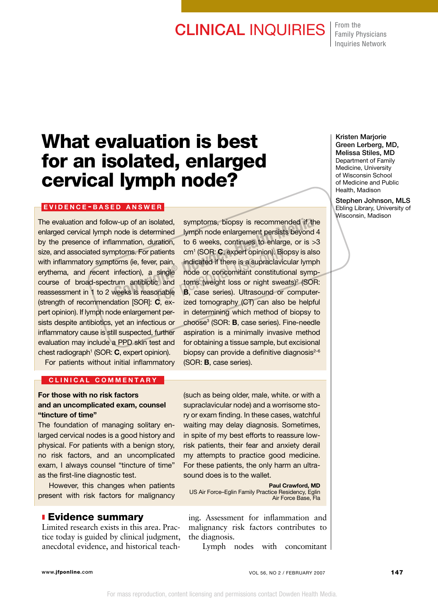## **CLINICAL INQUIRIES** From the

Family Physicians Inquiries Network

# What evaluation is best for an isolated, enlarged cervical lymph node?

### EVIDENCE-BASED ANSWER

The evaluation and follow-up of an isolated, enlarged cervical lymph node is determined by the presence of inflammation, duration, size, and associated symptoms. For patients with inflammatory symptoms (ie, fever, pain, erythema, and recent infection), a single course of broad-spectrum antibiotic and reassessment in 1 to 2 weeks is reasonable (strength of recommendation [SOR]: C, expert opinion). If lymph node enlargement persists despite antibiotics, yet an infectious or inflammatory cause is still suspected, further evaluation may include a PPD skin test and chest radiograph<sup>1</sup> (SOR:  $C$ , expert opinion).

symptoms, biopsy is recommended if the lymph node enlargement persists beyond 4 to 6 weeks, continues to enlarge, or is >3 cm1 (SOR: C, expert opinion). Biopsy is also indicated if there is a supraclavicular lymph node or concomitant constitutional symptoms (weight loss or night sweats)<sup>2</sup> (SOR: atients cm<sup>1</sup> (SOR: **C**, expert opinion). Biopsy is also<br>
b, pain, indicated if there is a supraclavicular lymph<br>
single node or concomitant constitutional symp-<br>
and toms (weight loss or night sweats)<sup>2</sup> (SOR:<br> **B**, case ized tomography (CT) can also be helpful in determining which method of biopsy to choose3 (SOR: B, case series). Fine-needle aspiration is a minimally invasive method for obtaining a tissue sample, but excisional biopsy can provide a definitive diagnosis $2-6$ (SOR: B, case series). w-up of an isolated, symptoms, biopsy is recommended if the node is determined lymph node enlargement persists beyond 4 ammation, duration, to 6 weeks, continues to enlarge, or is >5 aptoms. For patients cm<sup>1</sup> (SOR: **C**, e

For patients without initial inflammatory

#### CLINICAL COMMENTARY

## For those with no risk factors and an uncomplicated exam, counsel "tincture of time"

The foundation of managing solitary enlarged cervical nodes is a good history and physical. For patients with a benign story, no risk factors, and an uncomplicated exam, I always counsel "tincture of time" as the first-line diagnostic test.

 However, this changes when patients present with risk factors for malignancy

<sup>n</sup> Evidence summary

Limited research exists in this area. Practice today is guided by clinical judgment, anecdotal evidence, and historical teach-

(such as being older, male, white. or with a supraclavicular node) and a worrisome story or exam finding. In these cases, watchful waiting may delay diagnosis. Sometimes, in spite of my best efforts to reassure lowrisk patients, their fear and anxiety derail my attempts to practice good medicine. For these patients, the only harm an ultrasound does is to the wallet.

Paul Crawford, MD US Air Force–Eglin Family Practice Residency, Eglin Air Force Base, Fla

ing. Assessment for inflammation and malignancy risk factors contributes to the diagnosis.

Lymph nodes with concomitant

Kristen Marjorie Green Lerberg, MD, Melissa Stiles, MD Department of Family Medicine, University of Wisconsin School of Medicine and Public Health, Madison

Stephen Johnson, MLS Ebling Library, University of Wisconsin, Madison